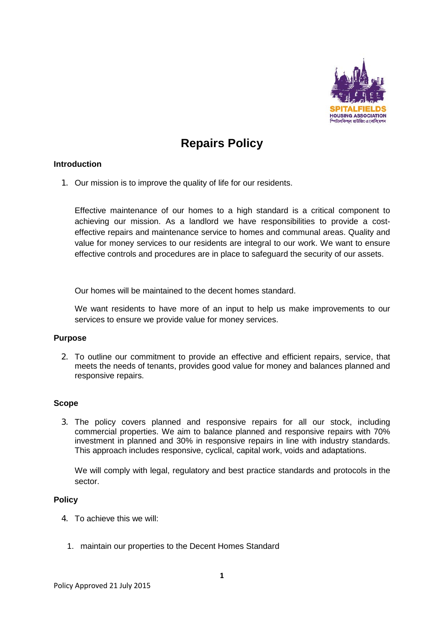

# **Repairs Policy**

## **Introduction**

1. Our mission is to improve the quality of life for our residents.

Effective maintenance of our homes to a high standard is a critical component to achieving our mission. As a landlord we have responsibilities to provide a costeffective repairs and maintenance service to homes and communal areas. Quality and value for money services to our residents are integral to our work. We want to ensure effective controls and procedures are in place to safeguard the security of our assets.

Our homes will be maintained to the decent homes standard.

We want residents to have more of an input to help us make improvements to our services to ensure we provide value for money services.

### **Purpose**

2. To outline our commitment to provide an effective and efficient repairs, service, that meets the needs of tenants, provides good value for money and balances planned and responsive repairs.

### **Scope**

3. The policy covers planned and responsive repairs for all our stock, including commercial properties. We aim to balance planned and responsive repairs with 70% investment in planned and 30% in responsive repairs in line with industry standards. This approach includes responsive, cyclical, capital work, voids and adaptations.

We will comply with legal, regulatory and best practice standards and protocols in the sector.

### **Policy**

- 4. To achieve this we will:
	- 1. maintain our properties to the Decent Homes Standard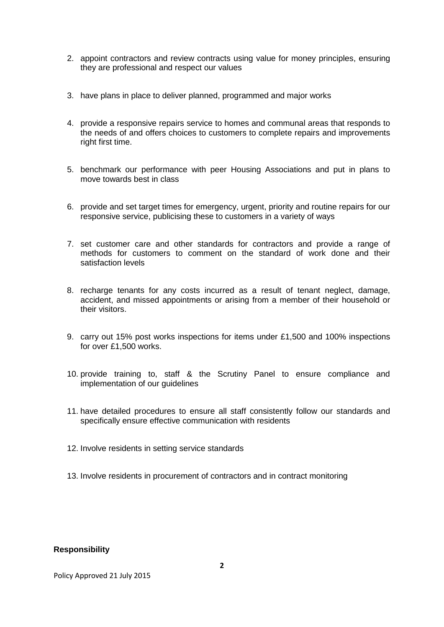- 2. appoint contractors and review contracts using value for money principles, ensuring they are professional and respect our values
- 3. have plans in place to deliver planned, programmed and major works
- 4. provide a responsive repairs service to homes and communal areas that responds to the needs of and offers choices to customers to complete repairs and improvements right first time.
- 5. benchmark our performance with peer Housing Associations and put in plans to move towards best in class
- 6. provide and set target times for emergency, urgent, priority and routine repairs for our responsive service, publicising these to customers in a variety of ways
- 7. set customer care and other standards for contractors and provide a range of methods for customers to comment on the standard of work done and their satisfaction levels
- 8. recharge tenants for any costs incurred as a result of tenant neglect, damage, accident, and missed appointments or arising from a member of their household or their visitors.
- 9. carry out 15% post works inspections for items under £1,500 and 100% inspections for over £1,500 works.
- 10. provide training to, staff & the Scrutiny Panel to ensure compliance and implementation of our guidelines
- 11. have detailed procedures to ensure all staff consistently follow our standards and specifically ensure effective communication with residents
- 12. Involve residents in setting service standards
- 13. Involve residents in procurement of contractors and in contract monitoring

### **Responsibility**